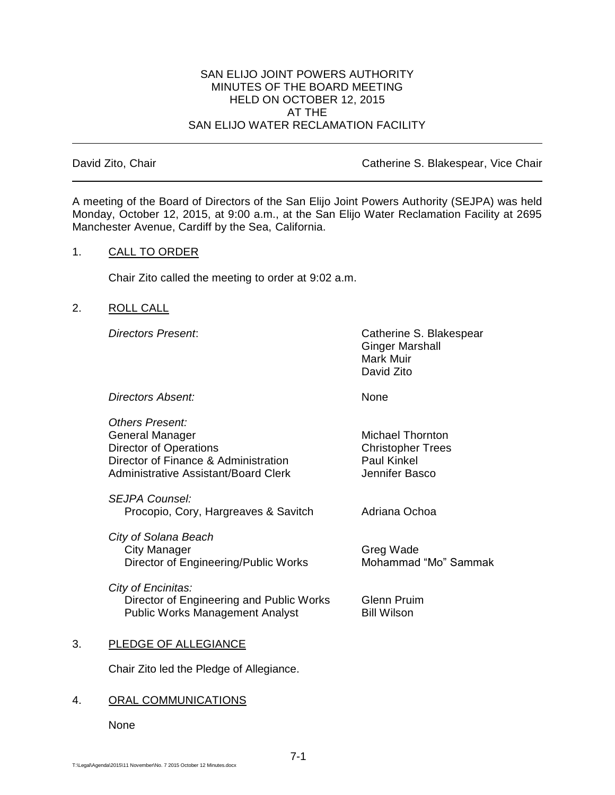#### SAN ELIJO JOINT POWERS AUTHORITY MINUTES OF THE BOARD MEETING HELD ON OCTOBER 12, 2015 AT THE SAN ELIJO WATER RECLAMATION FACILITY

David Zito, Chair **Catherine S. Blakespear, Vice Chair** Catherine S. Blakespear, Vice Chair

A meeting of the Board of Directors of the San Elijo Joint Powers Authority (SEJPA) was held Monday, October 12, 2015, at 9:00 a.m., at the San Elijo Water Reclamation Facility at 2695 Manchester Avenue, Cardiff by the Sea, California.

# 1. CALL TO ORDER

Chair Zito called the meeting to order at 9:02 a.m.

# 2. ROLL CALL

*Directors Present*: Catherine S. Blakespear Ginger Marshall Mark Muir David Zito

**Directors Absent:** None

*Others Present:* General Manager Michael Thornton Director of Operations<br>
Director of Finance & Administration<br>
Director of Finance & Administration<br>
Daul Kinkel Director of Finance & Administration Administrative Assistant/Board Clerk **Jennifer Basco** 

*SEJPA Counsel:* Procopio, Cory, Hargreaves & Savitch Adriana Ochoa

*City of Solana Beach* City Manager Greg Wade Director of Engineering/Public Works Mohammad "Mo" Sammak

*City of Encinitas:* Director of Engineering and Public Works Glenn Pruim Public Works Management Analyst Bill Wilson

## 3. PLEDGE OF ALLEGIANCE

Chair Zito led the Pledge of Allegiance.

## 4. ORAL COMMUNICATIONS

None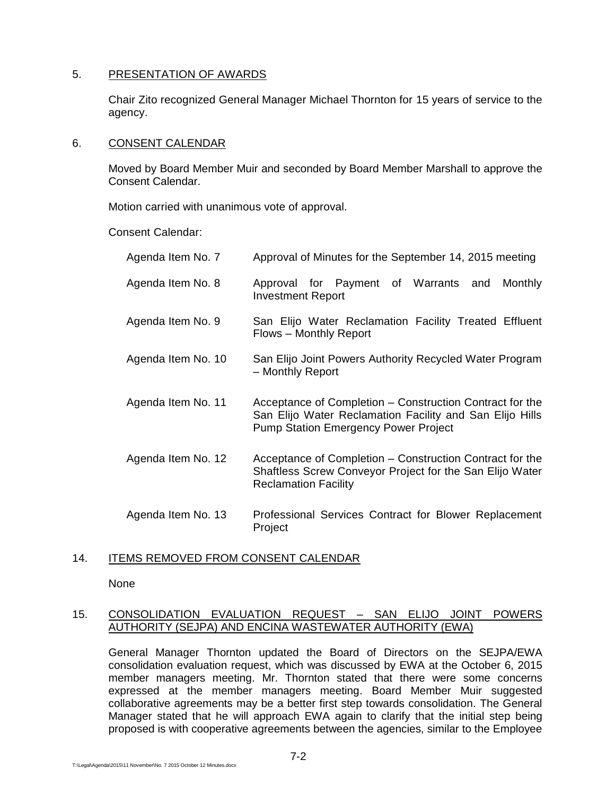## 5. PRESENTATION OF AWARDS

Chair Zito recognized General Manager Michael Thornton for 15 years of service to the agency.

#### 6. CONSENT CALENDAR

Moved by Board Member Muir and seconded by Board Member Marshall to approve the Consent Calendar.

Motion carried with unanimous vote of approval.

Consent Calendar:

| Agenda Item No. 7  | Approval of Minutes for the September 14, 2015 meeting                                                                                                              |
|--------------------|---------------------------------------------------------------------------------------------------------------------------------------------------------------------|
| Agenda Item No. 8  | Approval for Payment of Warrants<br>Monthly<br>and<br><b>Investment Report</b>                                                                                      |
| Agenda Item No. 9  | San Elijo Water Reclamation Facility Treated Effluent<br>Flows – Monthly Report                                                                                     |
| Agenda Item No. 10 | San Elijo Joint Powers Authority Recycled Water Program<br>- Monthly Report                                                                                         |
| Agenda Item No. 11 | Acceptance of Completion – Construction Contract for the<br>San Elijo Water Reclamation Facility and San Elijo Hills<br><b>Pump Station Emergency Power Project</b> |
| Agenda Item No. 12 | Acceptance of Completion – Construction Contract for the<br>Shaftless Screw Conveyor Project for the San Elijo Water<br><b>Reclamation Facility</b>                 |
| Agenda Item No. 13 | Professional Services Contract for Blower Replacement<br>Project                                                                                                    |

## 14. ITEMS REMOVED FROM CONSENT CALENDAR

None

#### 15. CONSOLIDATION EVALUATION REQUEST – SAN ELIJO JOINT POWERS AUTHORITY (SEJPA) AND ENCINA WASTEWATER AUTHORITY (EWA)

General Manager Thornton updated the Board of Directors on the SEJPA/EWA consolidation evaluation request, which was discussed by EWA at the October 6, 2015 member managers meeting. Mr. Thornton stated that there were some concerns expressed at the member managers meeting. Board Member Muir suggested collaborative agreements may be a better first step towards consolidation. The General Manager stated that he will approach EWA again to clarify that the initial step being proposed is with cooperative agreements between the agencies, similar to the Employee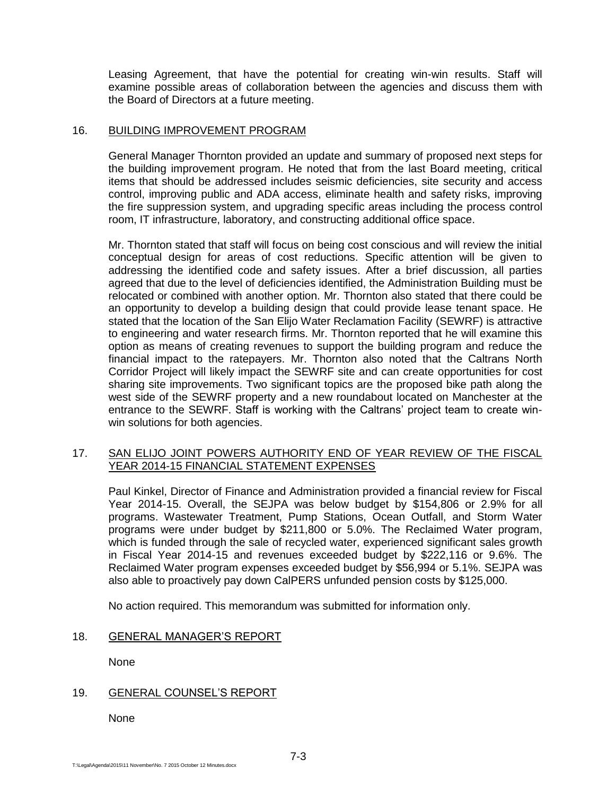Leasing Agreement, that have the potential for creating win-win results. Staff will examine possible areas of collaboration between the agencies and discuss them with the Board of Directors at a future meeting.

#### 16. BUILDING IMPROVEMENT PROGRAM

General Manager Thornton provided an update and summary of proposed next steps for the building improvement program. He noted that from the last Board meeting, critical items that should be addressed includes seismic deficiencies, site security and access control, improving public and ADA access, eliminate health and safety risks, improving the fire suppression system, and upgrading specific areas including the process control room, IT infrastructure, laboratory, and constructing additional office space.

Mr. Thornton stated that staff will focus on being cost conscious and will review the initial conceptual design for areas of cost reductions. Specific attention will be given to addressing the identified code and safety issues. After a brief discussion, all parties agreed that due to the level of deficiencies identified, the Administration Building must be relocated or combined with another option. Mr. Thornton also stated that there could be an opportunity to develop a building design that could provide lease tenant space. He stated that the location of the San Elijo Water Reclamation Facility (SEWRF) is attractive to engineering and water research firms. Mr. Thornton reported that he will examine this option as means of creating revenues to support the building program and reduce the financial impact to the ratepayers. Mr. Thornton also noted that the Caltrans North Corridor Project will likely impact the SEWRF site and can create opportunities for cost sharing site improvements. Two significant topics are the proposed bike path along the west side of the SEWRF property and a new roundabout located on Manchester at the entrance to the SEWRF. Staff is working with the Caltrans' project team to create winwin solutions for both agencies.

#### 17. SAN ELIJO JOINT POWERS AUTHORITY END OF YEAR REVIEW OF THE FISCAL YEAR 2014-15 FINANCIAL STATEMENT EXPENSES

Paul Kinkel, Director of Finance and Administration provided a financial review for Fiscal Year 2014-15. Overall, the SEJPA was below budget by \$154,806 or 2.9% for all programs. Wastewater Treatment, Pump Stations, Ocean Outfall, and Storm Water programs were under budget by \$211,800 or 5.0%. The Reclaimed Water program, which is funded through the sale of recycled water, experienced significant sales growth in Fiscal Year 2014-15 and revenues exceeded budget by \$222,116 or 9.6%. The Reclaimed Water program expenses exceeded budget by \$56,994 or 5.1%. SEJPA was also able to proactively pay down CalPERS unfunded pension costs by \$125,000.

No action required. This memorandum was submitted for information only.

## 18. GENERAL MANAGER'S REPORT

None

## 19. GENERAL COUNSEL'S REPORT

None